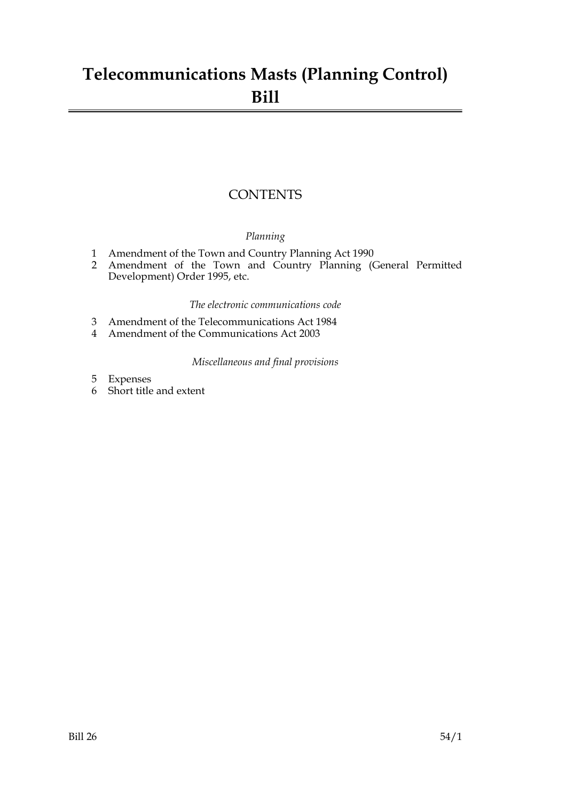## **Telecommunications Masts (Planning Control) Bill**

### **CONTENTS**

#### *Planning*

- 1 Amendment of the Town and Country Planning Act 1990
- 2 Amendment of the Town and Country Planning (General Permitted Development) Order 1995, etc.

#### *The electronic communications code*

- 3 Amendment of the Telecommunications Act 1984
- 4 Amendment of the Communications Act 2003

#### *Miscellaneous and final provisions*

- 5 Expenses
- 6 Short title and extent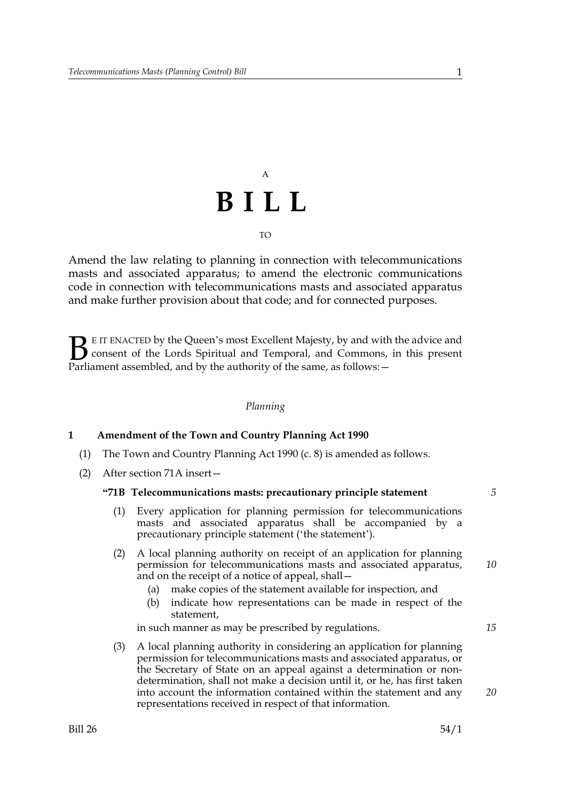# A **BILL** TO

Amend the law relating to planning in connection with telecommunications masts and associated apparatus; to amend the electronic communications code in connection with telecommunications masts and associated apparatus and make further provision about that code; and for connected purposes.

E IT ENACTED by the Queen's most Excellent Majesty, by and with the advice and consent of the Lords Spiritual and Temporal, and Commons, in this present **B** E IT ENACTED by the Queen's most Excellent Majesty, by and with consent of the Lords Spiritual and Temporal, and Commons, Parliament assembled, and by the authority of the same, as follows:  $-$ 

#### *Planning*

#### **1 Amendment of the Town and Country Planning Act 1990**

- (1) The Town and Country Planning Act 1990 (c. 8) is amended as follows.
- (2) After section 71A insert—

#### **"71B Telecommunications masts: precautionary principle statement**

- (1) Every application for planning permission for telecommunications masts and associated apparatus shall be accompanied by a precautionary principle statement ('the statement').
- (2) A local planning authority on receipt of an application for planning permission for telecommunications masts and associated apparatus, and on the receipt of a notice of appeal, shall—
	- (a) make copies of the statement available for inspection, and
	- (b) indicate how representations can be made in respect of the statement,

in such manner as may be prescribed by regulations.

(3) A local planning authority in considering an application for planning permission for telecommunications masts and associated apparatus, or the Secretary of State on an appeal against a determination or nondetermination, shall not make a decision until it, or he, has first taken into account the information contained within the statement and any representations received in respect of that information.

*5*

*10*

*15*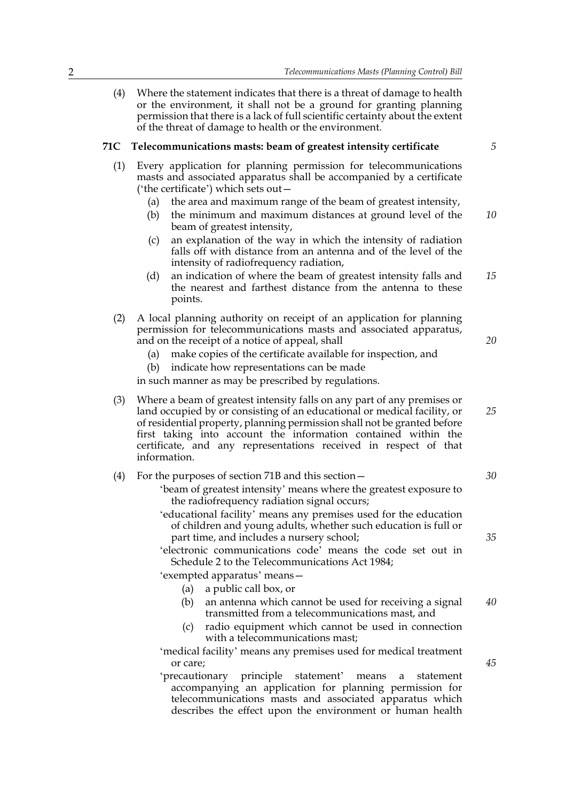(4) Where the statement indicates that there is a threat of damage to health or the environment, it shall not be a ground for granting planning permission that there is a lack of full scientific certainty about the extent of the threat of damage to health or the environment.

#### **71C Telecommunications masts: beam of greatest intensity certificate**

- (1) Every application for planning permission for telecommunications masts and associated apparatus shall be accompanied by a certificate ('the certificate') which sets out—
	- (a) the area and maximum range of the beam of greatest intensity,
	- (b) the minimum and maximum distances at ground level of the beam of greatest intensity, *10*
	- (c) an explanation of the way in which the intensity of radiation falls off with distance from an antenna and of the level of the intensity of radiofrequency radiation,
	- (d) an indication of where the beam of greatest intensity falls and the nearest and farthest distance from the antenna to these points. *15*
- (2) A local planning authority on receipt of an application for planning permission for telecommunications masts and associated apparatus, and on the receipt of a notice of appeal, shall
	- (a) make copies of the certificate available for inspection, and
	- (b) indicate how representations can be made

in such manner as may be prescribed by regulations.

(3) Where a beam of greatest intensity falls on any part of any premises or land occupied by or consisting of an educational or medical facility, or of residential property, planning permission shall not be granted before first taking into account the information contained within the certificate, and any representations received in respect of that information.

|  |  |  | (4) For the purposes of section 71B and this section $-$ |  |  |  |
|--|--|--|----------------------------------------------------------|--|--|--|
|--|--|--|----------------------------------------------------------|--|--|--|

- 'beam of greatest intensity' means where the greatest exposure to the radiofrequency radiation signal occurs;
- 'educational facility' means any premises used for the education of children and young adults, whether such education is full or part time, and includes a nursery school;
- 'electronic communications code' means the code set out in Schedule 2 to the Telecommunications Act 1984;

'exempted apparatus' means—

- (a) a public call box, or
- (b) an antenna which cannot be used for receiving a signal transmitted from a telecommunications mast, and *40*
- (c) radio equipment which cannot be used in connection with a telecommunications mast;
- 'medical facility' means any premises used for medical treatment or care;
- 'precautionary principle statement' means a statement accompanying an application for planning permission for telecommunications masts and associated apparatus which describes the effect upon the environment or human health

*5*

*20*

*25*

*30*

*35*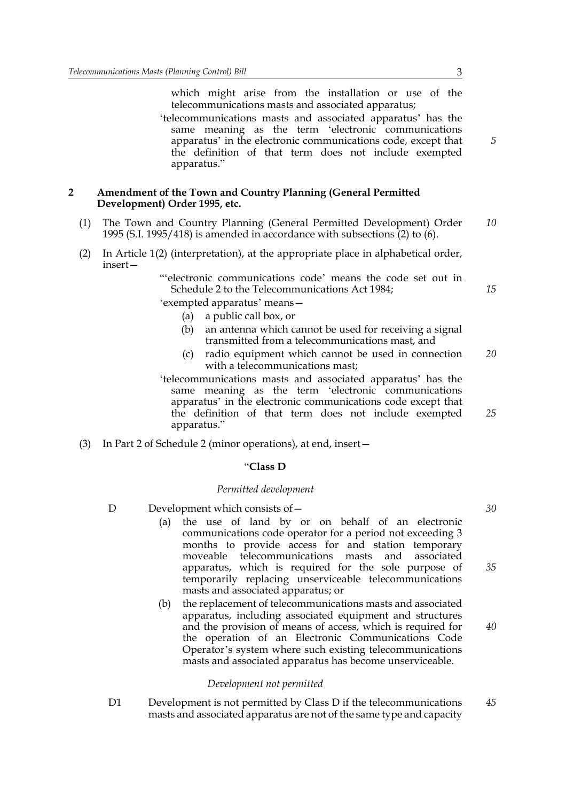which might arise from the installation or use of the telecommunications masts and associated apparatus;

'telecommunications masts and associated apparatus' has the same meaning as the term 'electronic communications apparatus' in the electronic communications code, except that the definition of that term does not include exempted apparatus."

#### **2 Amendment of the Town and Country Planning (General Permitted Development) Order 1995, etc.**

- (1) The Town and Country Planning (General Permitted Development) Order 1995 (S.I. 1995/418) is amended in accordance with subsections (2) to (6). *10*
- (2) In Article 1(2) (interpretation), at the appropriate place in alphabetical order, insert—

"'electronic communications code' means the code set out in Schedule 2 to the Telecommunications Act 1984;

'exempted apparatus' means—

- (a) a public call box, or
- (b) an antenna which cannot be used for receiving a signal transmitted from a telecommunications mast, and
- (c) radio equipment which cannot be used in connection with a telecommunications mast; *20*
- 'telecommunications masts and associated apparatus' has the same meaning as the term 'electronic communications apparatus' in the electronic communications code except that the definition of that term does not include exempted apparatus."
- (3) In Part 2 of Schedule 2 (minor operations), at end, insert—

#### "**Class D**

#### *Permitted development*

- D Development which consists of  $-$ 
	- (a) the use of land by or on behalf of an electronic communications code operator for a period not exceeding 3 months to provide access for and station temporary moveable telecommunications masts and associated apparatus, which is required for the sole purpose of temporarily replacing unserviceable telecommunications masts and associated apparatus; or
	- (b) the replacement of telecommunications masts and associated apparatus, including associated equipment and structures and the provision of means of access, which is required for the operation of an Electronic Communications Code Operator's system where such existing telecommunications masts and associated apparatus has become unserviceable. *40*

#### *Development not permitted*

D1 Development is not permitted by Class D if the telecommunications masts and associated apparatus are not of the same type and capacity *45*

*5*

*15*

*30*

*35*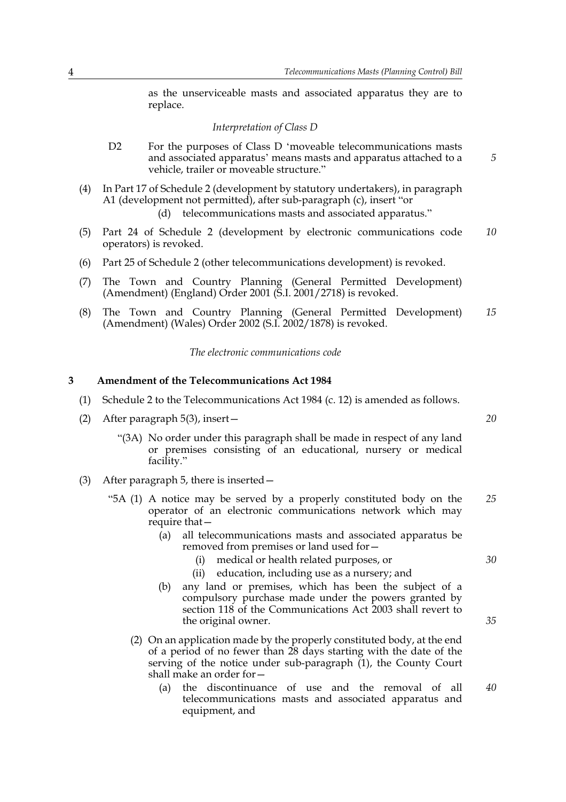as the unserviceable masts and associated apparatus they are to replace.

#### *Interpretation of Class D*

- D2 For the purposes of Class D 'moveable telecommunications masts and associated apparatus' means masts and apparatus attached to a vehicle, trailer or moveable structure."
- (4) In Part 17 of Schedule 2 (development by statutory undertakers), in paragraph A1 (development not permitted), after sub-paragraph (c), insert "or (d) telecommunications masts and associated apparatus."
- (5) Part 24 of Schedule 2 (development by electronic communications code operators) is revoked. *10*
- (6) Part 25 of Schedule 2 (other telecommunications development) is revoked.
- (7) The Town and Country Planning (General Permitted Development) (Amendment) (England) Order 2001 (S.I. 2001/2718) is revoked.
- (8) The Town and Country Planning (General Permitted Development) (Amendment) (Wales) Order 2002 (S.I. 2002/1878) is revoked. *15*

*The electronic communications code*

#### **3 Amendment of the Telecommunications Act 1984**

- (1) Schedule 2 to the Telecommunications Act 1984 (c. 12) is amended as follows.
- (2) After paragraph 5(3), insert—
	- "(3A) No order under this paragraph shall be made in respect of any land or premises consisting of an educational, nursery or medical facility."
- (3) After paragraph 5, there is inserted—
	- "5A (1) A notice may be served by a properly constituted body on the operator of an electronic communications network which may require that— *25*
		- (a) all telecommunications masts and associated apparatus be removed from premises or land used for—
			- (i) medical or health related purposes, or
			- (ii) education, including use as a nursery; and
		- (b) any land or premises, which has been the subject of a compulsory purchase made under the powers granted by section 118 of the Communications Act 2003 shall revert to the original owner.
		- (2) On an application made by the properly constituted body, at the end of a period of no fewer than 28 days starting with the date of the serving of the notice under sub-paragraph  $(1)$ , the County Court shall make an order for—
			- (a) the discontinuance of use and the removal of all telecommunications masts and associated apparatus and equipment, and *40*

*20*

*5*

*30*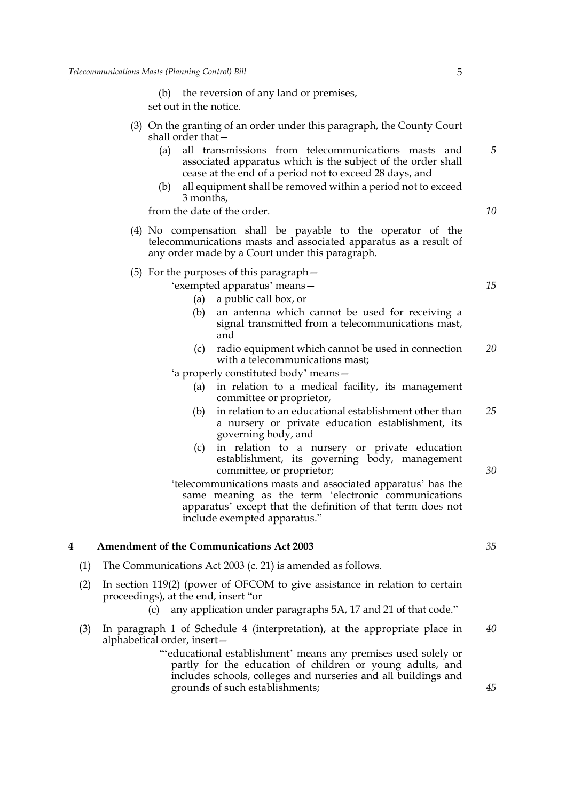(b) the reversion of any land or premises, set out in the notice.

- (3) On the granting of an order under this paragraph, the County Court shall order that—
	- (a) all transmissions from telecommunications masts and associated apparatus which is the subject of the order shall cease at the end of a period not to exceed 28 days, and
	- (b) all equipment shall be removed within a period not to exceed 3 months,

from the date of the order.

- (4) No compensation shall be payable to the operator of the telecommunications masts and associated apparatus as a result of any order made by a Court under this paragraph.
- (5) For the purposes of this paragraph—

'exempted apparatus' means—

- (a) a public call box, or
- (b) an antenna which cannot be used for receiving a signal transmitted from a telecommunications mast, and
- (c) radio equipment which cannot be used in connection with a telecommunications mast; *20*

'a properly constituted body' means—

- (a) in relation to a medical facility, its management committee or proprietor,
- (b) in relation to an educational establishment other than a nursery or private education establishment, its governing body, and *25*
- (c) in relation to a nursery or private education establishment, its governing body, management committee, or proprietor;
- 'telecommunications masts and associated apparatus' has the same meaning as the term 'electronic communications apparatus' except that the definition of that term does not include exempted apparatus."

#### **4 Amendment of the Communications Act 2003**

- (1) The Communications Act 2003 (c. 21) is amended as follows.
- (2) In section 119(2) (power of OFCOM to give assistance in relation to certain proceedings), at the end, insert "or
	- (c) any application under paragraphs 5A, 17 and 21 of that code."
- (3) In paragraph 1 of Schedule 4 (interpretation), at the appropriate place in alphabetical order, insert— *40*
	- "'educational establishment' means any premises used solely or partly for the education of children or young adults, and includes schools, colleges and nurseries and all buildings and grounds of such establishments;

*45*

*15*

*5*

*10*

*30*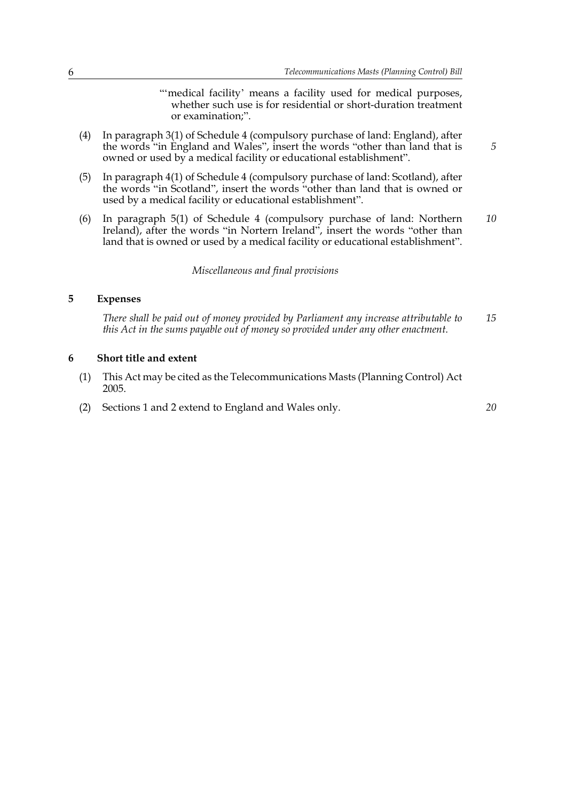"medical facility' means a facility used for medical purposes, whether such use is for residential or short-duration treatment or examination;".

- (4) In paragraph 3(1) of Schedule 4 (compulsory purchase of land: England), after the words "in England and Wales", insert the words "other than land that is owned or used by a medical facility or educational establishment".
- (5) In paragraph 4(1) of Schedule 4 (compulsory purchase of land: Scotland), after the words "in Scotland", insert the words "other than land that is owned or used by a medical facility or educational establishment".
- (6) In paragraph 5(1) of Schedule 4 (compulsory purchase of land: Northern Ireland), after the words "in Nortern Ireland", insert the words "other than land that is owned or used by a medical facility or educational establishment". *10*

*Miscellaneous and final provisions*

#### **5 Expenses**

*There shall be paid out of money provided by Parliament any increase attributable to this Act in the sums payable out of money so provided under any other enactment. 15*

#### **6 Short title and extent**

- (1) This Act may be cited as the Telecommunications Masts (Planning Control) Act 2005.
- (2) Sections 1 and 2 extend to England and Wales only.

*20*